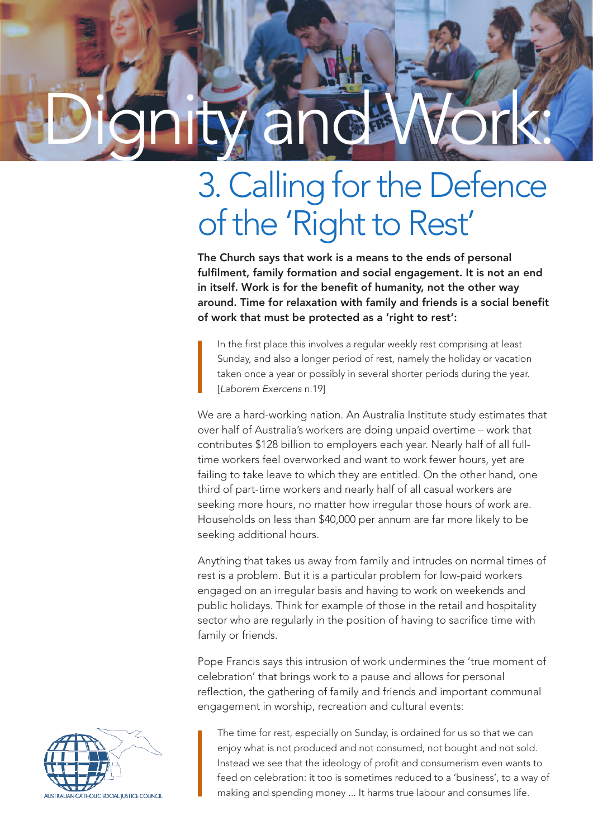# Dignity and Work:

## 3. Calling for the Defence of the 'Right to Rest'

The Church says that work is a means to the ends of personal fulfilment, family formation and social engagement. It is not an end in itself. Work is for the benefit of humanity, not the other way around. Time for relaxation with family and friends is a social benefit of work that must be protected as a 'right to rest':

In the first place this involves a regular weekly rest comprising at least Sunday, and also a longer period of rest, namely the holiday or vacation taken once a year or possibly in several shorter periods during the year. [*Laborem Exercens* n.19]

We are a hard-working nation. An Australia Institute study estimates that over half of Australia's workers are doing unpaid overtime – work that contributes \$128 billion to employers each year. Nearly half of all fulltime workers feel overworked and want to work fewer hours, yet are failing to take leave to which they are entitled. On the other hand, one third of part-time workers and nearly half of all casual workers are seeking more hours, no matter how irregular those hours of work are. Households on less than \$40,000 per annum are far more likely to be seeking additional hours.

Anything that takes us away from family and intrudes on normal times of rest is a problem. But it is a particular problem for low-paid workers engaged on an irregular basis and having to work on weekends and public holidays. Think for example of those in the retail and hospitality sector who are regularly in the position of having to sacrifice time with family or friends.

Pope Francis says this intrusion of work undermines the 'true moment of celebration' that brings work to a pause and allows for personal reflection, the gathering of family and friends and important communal engagement in worship, recreation and cultural events:



The time for rest, especially on Sunday, is ordained for us so that we can enjoy what is not produced and not consumed, not bought and not sold. Instead we see that the ideology of profit and consumerism even wants to feed on celebration: it too is sometimes reduced to a 'business', to a way of making and spending money ... It harms true labour and consumes life.